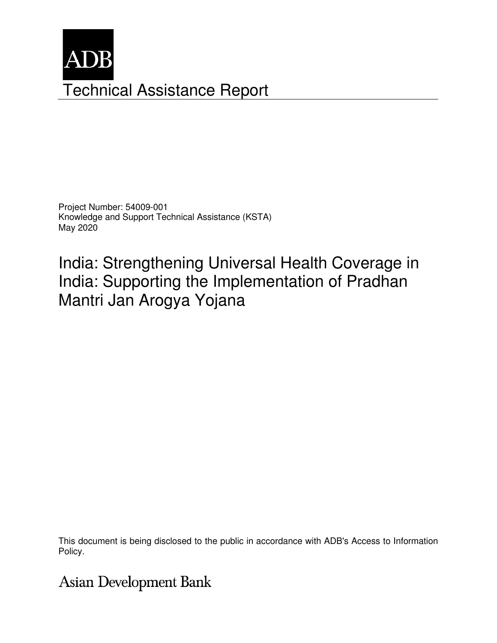

Project Number: 54009-001 Knowledge and Support Technical Assistance (KSTA) May 2020

India: Strengthening Universal Health Coverage in India: Supporting the Implementation of Pradhan Mantri Jan Arogya Yojana

This document is being disclosed to the public in accordance with ADB's Access to Information Policy.

**Asian Development Bank**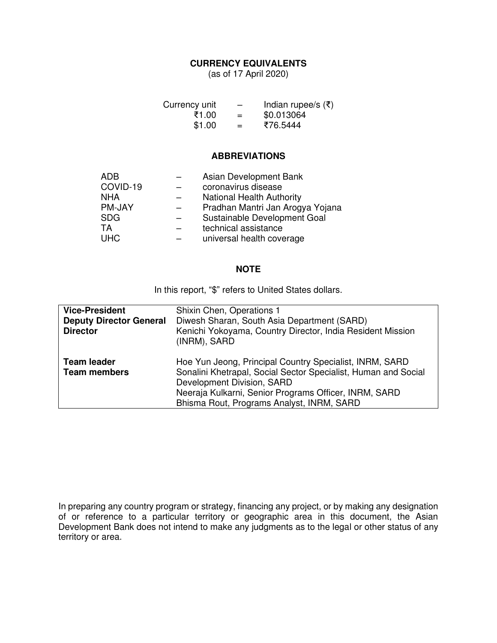## **CURRENCY EQUIVALENTS**

(as of 17 April 2020)

| Currency unit | $\overline{\phantom{0}}$ | Indian rupee/s $(\xi)$ |
|---------------|--------------------------|------------------------|
| ₹1.00         | $=$                      | \$0.013064             |
| \$1.00        | $=$                      | ₹76.5444               |

#### **ABBREVIATIONS**

| <b>ADB</b> | Asian Development Bank           |
|------------|----------------------------------|
| COVID-19   | coronavirus disease              |
| <b>NHA</b> | <b>National Health Authority</b> |
| PM-JAY     | Pradhan Mantri Jan Arogya Yojana |
| <b>SDG</b> | Sustainable Development Goal     |
| <b>TA</b>  | technical assistance             |
| <b>UHC</b> | universal health coverage        |
|            |                                  |

#### **NOTE**

In this report, "\$" refers to United States dollars.

| <b>Vice-President</b><br><b>Deputy Director General</b><br><b>Director</b> | Shixin Chen, Operations 1<br>Diwesh Sharan, South Asia Department (SARD)<br>Kenichi Yokoyama, Country Director, India Resident Mission<br>(INRM), SARD                                                                                                        |
|----------------------------------------------------------------------------|---------------------------------------------------------------------------------------------------------------------------------------------------------------------------------------------------------------------------------------------------------------|
| <b>Team leader</b><br><b>Team members</b>                                  | Hoe Yun Jeong, Principal Country Specialist, INRM, SARD<br>Sonalini Khetrapal, Social Sector Specialist, Human and Social<br>Development Division, SARD<br>Neeraja Kulkarni, Senior Programs Officer, INRM, SARD<br>Bhisma Rout, Programs Analyst, INRM, SARD |

In preparing any country program or strategy, financing any project, or by making any designation of or reference to a particular territory or geographic area in this document, the Asian Development Bank does not intend to make any judgments as to the legal or other status of any territory or area.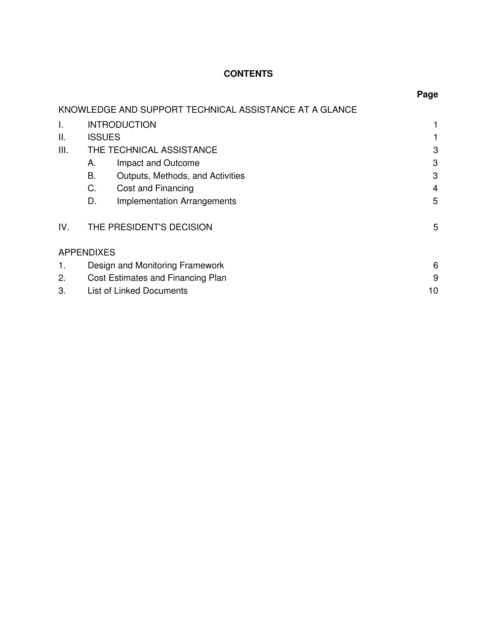## **CONTENTS**

|              |                   |                                                        | Page |
|--------------|-------------------|--------------------------------------------------------|------|
|              |                   | KNOWLEDGE AND SUPPORT TECHNICAL ASSISTANCE AT A GLANCE |      |
| $\mathsf{L}$ |                   | <b>INTRODUCTION</b>                                    |      |
| Ш.           | <b>ISSUES</b>     |                                                        |      |
| III.         |                   | THE TECHNICAL ASSISTANCE                               | 3    |
|              | А.                | Impact and Outcome                                     | 3    |
|              | Β.                | Outputs, Methods, and Activities                       | 3    |
|              | C.                | Cost and Financing                                     | 4    |
|              | D.                | <b>Implementation Arrangements</b>                     | 5    |
| IV.          |                   | THE PRESIDENT'S DECISION                               | 5    |
|              | <b>APPENDIXES</b> |                                                        |      |
|              |                   | Design and Monitoring Framework                        | 6    |
| 2.           |                   | Cost Estimates and Financing Plan                      | 9    |
| 3.           |                   | List of Linked Documents                               | 10   |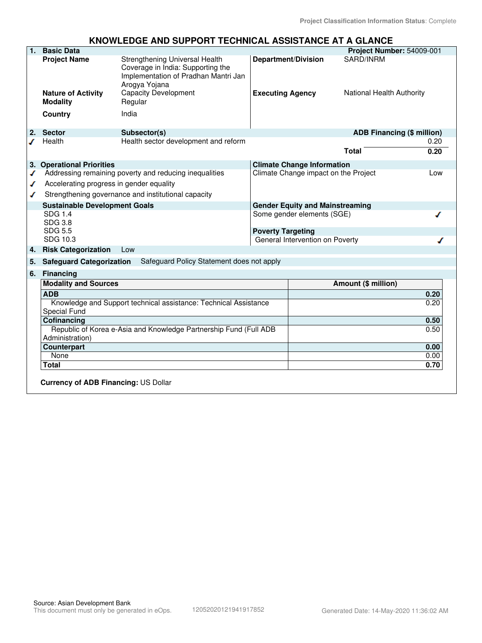#### **KNOWLEDGE AND SUPPORT TECHNICAL ASSISTANCE AT A GLANCE**

| 1.                                   | <b>Basic Data</b>                                  |                                                                                                                              |                          |                                      | Project Number: 54009-001 |                                   |
|--------------------------------------|----------------------------------------------------|------------------------------------------------------------------------------------------------------------------------------|--------------------------|--------------------------------------|---------------------------|-----------------------------------|
|                                      | <b>Project Name</b>                                | Strengthening Universal Health<br>Coverage in India: Supporting the<br>Implementation of Pradhan Mantri Jan<br>Arogya Yojana |                          | <b>Department/Division</b>           | SARD/INRM                 |                                   |
|                                      | <b>Nature of Activity</b><br><b>Modality</b>       | <b>Capacity Development</b><br>Regular                                                                                       | <b>Executing Agency</b>  |                                      | National Health Authority |                                   |
|                                      | Country                                            | India                                                                                                                        |                          |                                      |                           |                                   |
|                                      | 2. Sector                                          | Subsector(s)                                                                                                                 |                          |                                      |                           | <b>ADB Financing (\$ million)</b> |
|                                      | Health                                             | Health sector development and reform                                                                                         |                          |                                      |                           | 0.20                              |
|                                      |                                                    |                                                                                                                              |                          |                                      | <b>Total</b>              | 0.20                              |
|                                      | 3. Operational Priorities                          |                                                                                                                              |                          | <b>Climate Change Information</b>    |                           |                                   |
| ✔                                    |                                                    | Addressing remaining poverty and reducing inequalities                                                                       |                          | Climate Change impact on the Project |                           | Low                               |
| ✔                                    | Accelerating progress in gender equality           |                                                                                                                              |                          |                                      |                           |                                   |
| ✔                                    |                                                    | Strengthening governance and institutional capacity                                                                          |                          |                                      |                           |                                   |
| <b>Sustainable Development Goals</b> |                                                    | <b>Gender Equity and Mainstreaming</b>                                                                                       |                          |                                      |                           |                                   |
|                                      | <b>SDG 1.4</b><br><b>SDG 3.8</b><br><b>SDG 5.5</b> |                                                                                                                              | <b>Poverty Targeting</b> | Some gender elements (SGE)           |                           |                                   |
|                                      | SDG 10.3                                           |                                                                                                                              |                          | General Intervention on Poverty      |                           |                                   |
| 4.                                   | <b>Risk Categorization</b>                         | Low                                                                                                                          |                          |                                      |                           |                                   |
| 5.                                   | <b>Safeguard Categorization</b>                    | Safeguard Policy Statement does not apply                                                                                    |                          |                                      |                           |                                   |
| 6.                                   | <b>Financing</b>                                   |                                                                                                                              |                          |                                      |                           |                                   |
|                                      | <b>Modality and Sources</b>                        |                                                                                                                              |                          |                                      | Amount (\$ million)       |                                   |
|                                      | <b>ADB</b>                                         |                                                                                                                              |                          |                                      |                           | 0.20                              |
|                                      |                                                    | Knowledge and Support technical assistance: Technical Assistance                                                             |                          |                                      |                           | 0.20                              |
|                                      | <b>Special Fund</b>                                |                                                                                                                              |                          |                                      |                           |                                   |
|                                      | Cofinancing                                        |                                                                                                                              |                          |                                      |                           | 0.50                              |
|                                      | Administration)                                    | Republic of Korea e-Asia and Knowledge Partnership Fund (Full ADB                                                            |                          |                                      |                           | 0.50                              |
|                                      | Counterpart                                        |                                                                                                                              |                          |                                      |                           | 0.00                              |
|                                      | None                                               |                                                                                                                              |                          |                                      |                           | 0.00                              |
|                                      | <b>Total</b>                                       |                                                                                                                              |                          |                                      |                           | 0.70                              |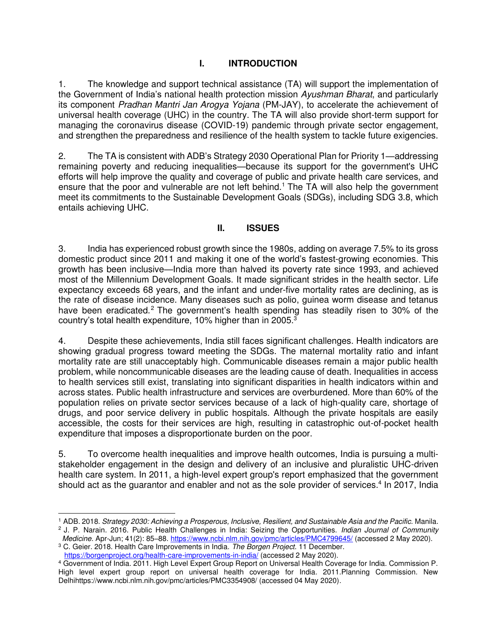## **I. INTRODUCTION**

1. The knowledge and support technical assistance (TA) will support the implementation of the Government of India's national health protection mission *Ayushman Bharat*, and particularly its component *Pradhan Mantri Jan Arogya Yojana* (PM-JAY), to accelerate the achievement of universal health coverage (UHC) in the country. The TA will also provide short-term support for managing the coronavirus disease (COVID-19) pandemic through private sector engagement, and strengthen the preparedness and resilience of the health system to tackle future exigencies.

2. The TA is consistent with ADB's Strategy 2030 Operational Plan for Priority 1—addressing remaining poverty and reducing inequalities—because its support for the government's UHC efforts will help improve the quality and coverage of public and private health care services, and ensure that the poor and vulnerable are not left behind.<sup>1</sup> The TA will also help the government meet its commitments to the Sustainable Development Goals (SDGs), including SDG 3.8, which entails achieving UHC.

#### **II. ISSUES**

3. India has experienced robust growth since the 1980s, adding on average 7.5% to its gross domestic product since 2011 and making it one of the world's fastest-growing economies. This growth has been inclusive—India more than halved its poverty rate since 1993, and achieved most of the Millennium Development Goals. It made significant strides in the health sector. Life expectancy exceeds 68 years, and the infant and under-five mortality rates are declining, as is the rate of disease incidence. Many diseases such as polio, guinea worm disease and tetanus have been eradicated.<sup>2</sup> The government's health spending has steadily risen to 30% of the country's total health expenditure, 10% higher than in 2005. $^3$ 

4. Despite these achievements, India still faces significant challenges. Health indicators are showing gradual progress toward meeting the SDGs. The maternal mortality ratio and infant mortality rate are still unacceptably high. Communicable diseases remain a major public health problem, while noncommunicable diseases are the leading cause of death. Inequalities in access to health services still exist, translating into significant disparities in health indicators within and across states. Public health infrastructure and services are overburdened. More than 60% of the population relies on private sector services because of a lack of high-quality care, shortage of drugs, and poor service delivery in public hospitals. Although the private hospitals are easily accessible, the costs for their services are high, resulting in catastrophic out-of-pocket health expenditure that imposes a disproportionate burden on the poor.

5. To overcome health inequalities and improve health outcomes, India is pursuing a multistakeholder engagement in the design and delivery of an inclusive and pluralistic UHC-driven health care system. In 2011, a high-level expert group's report emphasized that the government should act as the guarantor and enabler and not as the sole provider of services.<sup>4</sup> In 2017, India

<sup>1</sup> ADB. 2018. *Strategy 2030: Achieving a Prosperous, Inclusive, Resilient, and Sustainable Asia and the Pacific.* Manila. 2 J. P. Narain. 2016. Public Health Challenges in India: Seizing the Opportunities. *Indian Journal of Community* 

*Medicine.* Apr-Jun; 41(2): 85–88.<https://www.ncbi.nlm.nih.gov/pmc/articles/PMC4799645/> (accessed 2 May 2020). 3 C. Geier. 2018. Health Care Improvements in India. *The Borgen Project*. 11 December.

pttps://borgenproject.org/health-care-improvements-in-india/ (accessed 2 May 2020).<br><sup>4</sup> Government of India. 2011. High Level Expert Group Report on Universal Health Coverage for India. Commission P.

High level expert group report on universal health coverage for India. 2011.Planning Commission. New Delhihttps://www.ncbi.nlm.nih.gov/pmc/articles/PMC3354908/ (accessed 04 May 2020).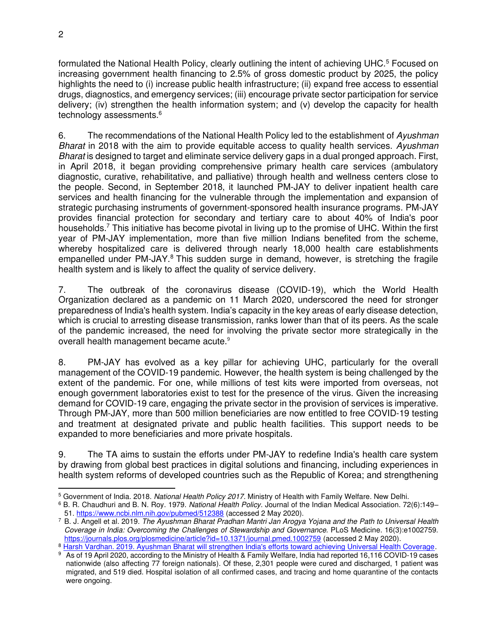formulated the National Health Policy, clearly outlining the intent of achieving UHC.<sup>5</sup> Focused on increasing government health financing to 2.5% of gross domestic product by 2025, the policy highlights the need to (i) increase public health infrastructure; (ii) expand free access to essential drugs, diagnostics, and emergency services; (iii) encourage private sector participation for service delivery; (iv) strengthen the health information system; and (v) develop the capacity for health technology assessments.<sup>6</sup>

6. The recommendations of the National Health Policy led to the establishment of *Ayushman Bharat* in 2018 with the aim to provide equitable access to quality health services. *Ayushman Bharat* is designed to target and eliminate service delivery gaps in a dual pronged approach. First, in April 2018, it began providing comprehensive primary health care services (ambulatory diagnostic, curative, rehabilitative, and palliative) through health and wellness centers close to the people. Second, in September 2018, it launched PM-JAY to deliver inpatient health care services and health financing for the vulnerable through the implementation and expansion of strategic purchasing instruments of government-sponsored health insurance programs. PM-JAY provides financial protection for secondary and tertiary care to about 40% of India's poor households.<sup>7</sup> This initiative has become pivotal in living up to the promise of UHC. Within the first year of PM-JAY implementation, more than five million Indians benefited from the scheme, whereby hospitalized care is delivered through nearly 18,000 health care establishments empanelled under PM-JAY.<sup>8</sup> This sudden surge in demand, however, is stretching the fragile health system and is likely to affect the quality of service delivery.

7. The outbreak of the coronavirus disease (COVID-19), which the World Health Organization declared as a pandemic on 11 March 2020, underscored the need for stronger preparedness of India's health system. India's capacity in the key areas of early disease detection, which is crucial to arresting disease transmission, ranks lower than that of its peers. As the scale of the pandemic increased, the need for involving the private sector more strategically in the overall health management became acute.<sup>9</sup>

8. PM-JAY has evolved as a key pillar for achieving UHC, particularly for the overall management of the COVID-19 pandemic. However, the health system is being challenged by the extent of the pandemic. For one, while millions of test kits were imported from overseas, not enough government laboratories exist to test for the presence of the virus. Given the increasing demand for COVID-19 care, engaging the private sector in the provision of services is imperative. Through PM-JAY, more than 500 million beneficiaries are now entitled to free COVID-19 testing and treatment at designated private and public health facilities. This support needs to be expanded to more beneficiaries and more private hospitals.

9. The TA aims to sustain the efforts under PM-JAY to redefine India's health care system by drawing from global best practices in digital solutions and financing, including experiences in health system reforms of developed countries such as the Republic of Korea; and strengthening

<sup>5</sup> Government of India. 2018. *National Health Policy 2017.* Ministry of Health with Family Welfare. New Delhi.

<sup>6</sup> B. R. Chaudhuri and B. N. Roy. 1979. *National Health Policy.* Journal of the Indian Medical Association. 72(6):149– 51. <https://www.ncbi.nlm.nih.gov/pubmed/512388>(accessed 2 May 2020).

<sup>7</sup> B. J. Angell et al. 2019. *The Ayushman Bharat Pradhan Mantri Jan Arogya Yojana and the Path to Universal Health Coverage in India: Overcoming the Challenges of Stewardship and Governance.* PLoS Medicine. 16(3):e1002759. <https://journals.plos.org/plosmedicine/article?id=10.1371/journal.pmed.1002759>(accessed 2 May 2020).

<sup>8</sup> [Harsh Vardhan. 2019. Ayushman Bharat will strengthen India's efforts toward achieving Universal Health Coverage.](https://pib.gov.in/newsite/PrintRelease.aspx?relid=193358) 9 As of 19 April 2020, according to the Ministry of Health & Family Welfare, India had reported 16,116 COVID-19 cases nationwide (also affecting 77 foreign nationals). Of these, 2,301 people were cured and discharged, 1 patient was migrated, and 519 died. Hospital isolation of all confirmed cases, and tracing and home quarantine of the contacts were ongoing.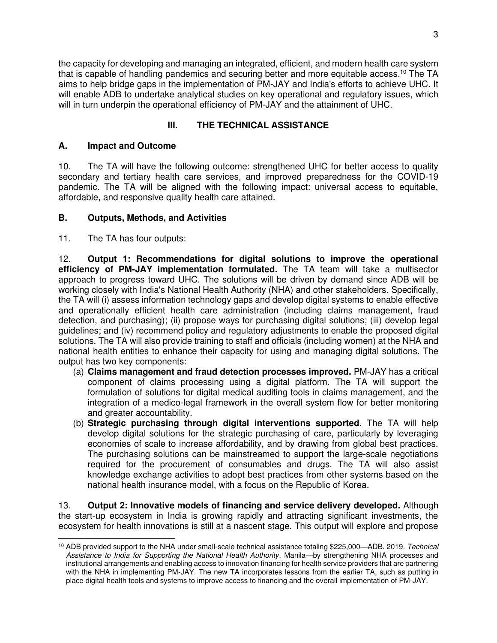the capacity for developing and managing an integrated, efficient, and modern health care system that is capable of handling pandemics and securing better and more equitable access.<sup>10</sup> The TA aims to help bridge gaps in the implementation of PM-JAY and India's efforts to achieve UHC. It will enable ADB to undertake analytical studies on key operational and regulatory issues, which will in turn underpin the operational efficiency of PM-JAY and the attainment of UHC.

## **III. THE TECHNICAL ASSISTANCE**

### **A. Impact and Outcome**

10. The TA will have the following outcome: strengthened UHC for better access to quality secondary and tertiary health care services, and improved preparedness for the COVID-19 pandemic. The TA will be aligned with the following impact: universal access to equitable, affordable, and responsive quality health care attained.

## **B. Outputs, Methods, and Activities**

11. The TA has four outputs:

12. **Output 1: Recommendations for digital solutions to improve the operational efficiency of PM-JAY implementation formulated.** The TA team will take a multisector approach to progress toward UHC. The solutions will be driven by demand since ADB will be working closely with India's National Health Authority (NHA) and other stakeholders. Specifically, the TA will (i) assess information technology gaps and develop digital systems to enable effective and operationally efficient health care administration (including claims management, fraud detection, and purchasing); (ii) propose ways for purchasing digital solutions; (iii) develop legal guidelines; and (iv) recommend policy and regulatory adjustments to enable the proposed digital solutions. The TA will also provide training to staff and officials (including women) at the NHA and national health entities to enhance their capacity for using and managing digital solutions. The output has two key components:

- (a) **Claims management and fraud detection processes improved.** PM-JAY has a critical component of claims processing using a digital platform. The TA will support the formulation of solutions for digital medical auditing tools in claims management, and the integration of a medico-legal framework in the overall system flow for better monitoring and greater accountability.
- (b) **Strategic purchasing through digital interventions supported.** The TA will help develop digital solutions for the strategic purchasing of care, particularly by leveraging economies of scale to increase affordability, and by drawing from global best practices. The purchasing solutions can be mainstreamed to support the large-scale negotiations required for the procurement of consumables and drugs. The TA will also assist knowledge exchange activities to adopt best practices from other systems based on the national health insurance model, with a focus on the Republic of Korea.

13. **Output 2: Innovative models of financing and service delivery developed.** Although the start-up ecosystem in India is growing rapidly and attracting significant investments, the ecosystem for health innovations is still at a nascent stage. This output will explore and propose

<sup>10</sup> ADB provided support to the NHA under small-scale technical assistance totaling \$225,000—ADB. 2019. *Technical Assistance to India for Supporting the National Health Authority*. Manila—by strengthening NHA processes and institutional arrangements and enabling access to innovation financing for health service providers that are partnering with the NHA in implementing PM-JAY. The new TA incorporates lessons from the earlier TA, such as putting in place digital health tools and systems to improve access to financing and the overall implementation of PM-JAY.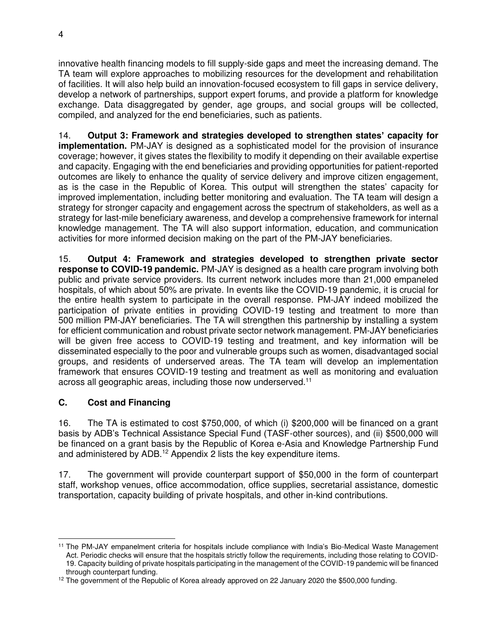innovative health financing models to fill supply-side gaps and meet the increasing demand. The TA team will explore approaches to mobilizing resources for the development and rehabilitation of facilities. It will also help build an innovation-focused ecosystem to fill gaps in service delivery, develop a network of partnerships, support expert forums, and provide a platform for knowledge exchange. Data disaggregated by gender, age groups, and social groups will be collected, compiled, and analyzed for the end beneficiaries, such as patients.

14. **Output 3: Framework and strategies developed to strengthen states' capacity for implementation.** PM-JAY is designed as a sophisticated model for the provision of insurance coverage; however, it gives states the flexibility to modify it depending on their available expertise and capacity. Engaging with the end beneficiaries and providing opportunities for patient-reported outcomes are likely to enhance the quality of service delivery and improve citizen engagement, as is the case in the Republic of Korea. This output will strengthen the states' capacity for improved implementation, including better monitoring and evaluation. The TA team will design a strategy for stronger capacity and engagement across the spectrum of stakeholders, as well as a strategy for last-mile beneficiary awareness, and develop a comprehensive framework for internal knowledge management. The TA will also support information, education, and communication activities for more informed decision making on the part of the PM-JAY beneficiaries.

15. **Output 4: Framework and strategies developed to strengthen private sector response to COVID-19 pandemic.** PM-JAY is designed as a health care program involving both public and private service providers. Its current network includes more than 21,000 empaneled hospitals, of which about 50% are private. In events like the COVID-19 pandemic, it is crucial for the entire health system to participate in the overall response. PM-JAY indeed mobilized the participation of private entities in providing COVID-19 testing and treatment to more than 500 million PM-JAY beneficiaries. The TA will strengthen this partnership by installing a system for efficient communication and robust private sector network management. PM-JAY beneficiaries will be given free access to COVID-19 testing and treatment, and key information will be disseminated especially to the poor and vulnerable groups such as women, disadvantaged social groups, and residents of underserved areas. The TA team will develop an implementation framework that ensures COVID-19 testing and treatment as well as monitoring and evaluation across all geographic areas, including those now underserved.<sup>11</sup>

# **C. Cost and Financing**

16. The TA is estimated to cost \$750,000, of which (i) \$200,000 will be financed on a grant basis by ADB's Technical Assistance Special Fund (TASF-other sources), and (ii) \$500,000 will be financed on a grant basis by the Republic of Korea e-Asia and Knowledge Partnership Fund and administered by ADB.<sup>12</sup> Appendix 2 lists the key expenditure items.

17. The government will provide counterpart support of \$50,000 in the form of counterpart staff, workshop venues, office accommodation, office supplies, secretarial assistance, domestic transportation, capacity building of private hospitals, and other in-kind contributions.

<sup>11</sup> The PM-JAY empanelment criteria for hospitals include compliance with India's Bio-Medical Waste Management Act. Periodic checks will ensure that the hospitals strictly follow the requirements, including those relating to COVID-19. Capacity building of private hospitals participating in the management of the COVID-19 pandemic will be financed through counterpart funding.

<sup>&</sup>lt;sup>12</sup> The government of the Republic of Korea already approved on 22 January 2020 the \$500,000 funding.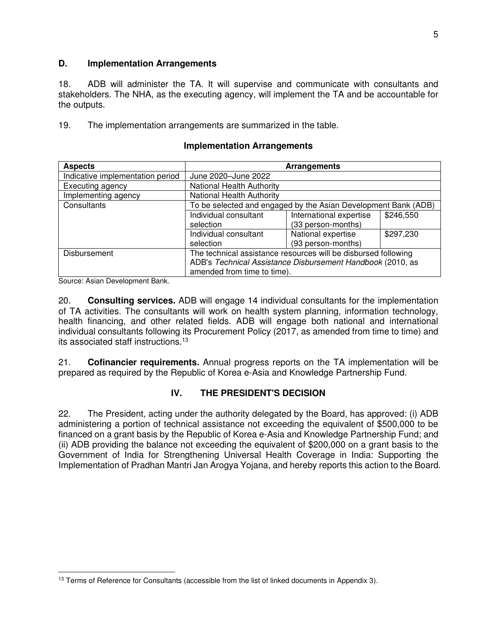#### **D. Implementation Arrangements**

18. ADB will administer the TA. It will supervise and communicate with consultants and stakeholders. The NHA, as the executing agency, will implement the TA and be accountable for the outputs.

19. The implementation arrangements are summarized in the table.

| <b>Aspects</b>                   | Arrangements                                                   |                         |           |  |
|----------------------------------|----------------------------------------------------------------|-------------------------|-----------|--|
| Indicative implementation period | June 2020-June 2022                                            |                         |           |  |
| Executing agency                 | <b>National Health Authority</b>                               |                         |           |  |
| Implementing agency              | <b>National Health Authority</b>                               |                         |           |  |
| Consultants                      | To be selected and engaged by the Asian Development Bank (ADB) |                         |           |  |
|                                  | Individual consultant                                          | International expertise | \$246,550 |  |
|                                  | selection                                                      | (33 person-months)      |           |  |
|                                  | Individual consultant                                          | National expertise      | \$297,230 |  |
|                                  | (93 person-months)<br>selection                                |                         |           |  |
| <b>Disbursement</b>              | The technical assistance resources will be disbursed following |                         |           |  |
|                                  | ADB's Technical Assistance Disbursement Handbook (2010, as     |                         |           |  |
|                                  | amended from time to time).                                    |                         |           |  |

#### **Implementation Arrangements**

Source: Asian Development Bank.

20. **Consulting services.** ADB will engage 14 individual consultants for the implementation of TA activities. The consultants will work on health system planning, information technology, health financing, and other related fields. ADB will engage both national and international individual consultants following its Procurement Policy (2017, as amended from time to time) and its associated staff instructions.<sup>13</sup>

21. **Cofinancier requirements.** Annual progress reports on the TA implementation will be prepared as required by the Republic of Korea e-Asia and Knowledge Partnership Fund.

## **IV. THE PRESIDENT'S DECISION**

22. The President, acting under the authority delegated by the Board, has approved: (i) ADB administering a portion of technical assistance not exceeding the equivalent of \$500,000 to be financed on a grant basis by the Republic of Korea e-Asia and Knowledge Partnership Fund; and (ii) ADB providing the balance not exceeding the equivalent of \$200,000 on a grant basis to the Government of India for Strengthening Universal Health Coverage in India: Supporting the Implementation of Pradhan Mantri Jan Arogya Yojana, and hereby reports this action to the Board.

<sup>&</sup>lt;sup>13</sup> Terms of Reference for Consultants (accessible from the list of linked documents in Appendix 3).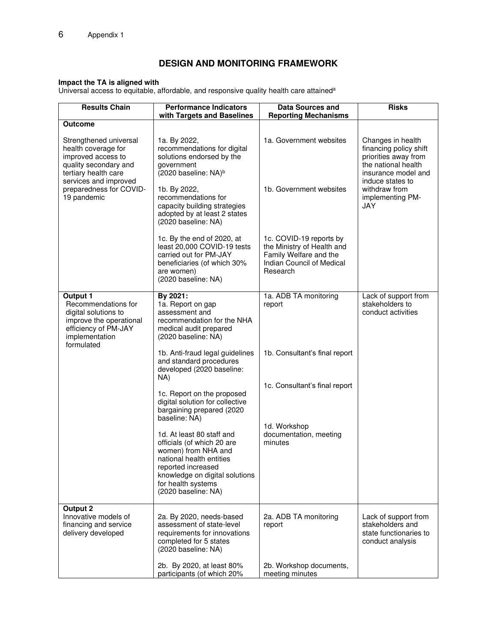## **DESIGN AND MONITORING FRAMEWORK**

#### **Impact the TA is aligned with**

Universal access to equitable, affordable, and responsive quality health care attained<sup>a</sup>

| <b>Results Chain</b>                                                                                                                                                                    | <b>Performance Indicators</b><br>with Targets and Baselines                                                                                                                                                                                              | <b>Data Sources and</b><br><b>Reporting Mechanisms</b>                                                                   | <b>Risks</b>                                                                                                                                                                      |
|-----------------------------------------------------------------------------------------------------------------------------------------------------------------------------------------|----------------------------------------------------------------------------------------------------------------------------------------------------------------------------------------------------------------------------------------------------------|--------------------------------------------------------------------------------------------------------------------------|-----------------------------------------------------------------------------------------------------------------------------------------------------------------------------------|
| <b>Outcome</b>                                                                                                                                                                          |                                                                                                                                                                                                                                                          |                                                                                                                          |                                                                                                                                                                                   |
| Strengthened universal<br>health coverage for<br>improved access to<br>quality secondary and<br>tertiary health care<br>services and improved<br>preparedness for COVID-<br>19 pandemic | 1a. By 2022,<br>recommendations for digital<br>solutions endorsed by the<br>government<br>(2020 baseline: NA) <sup>b</sup><br>1b. By 2022,<br>recommendations for<br>capacity building strategies<br>adopted by at least 2 states<br>(2020 baseline: NA) | 1a. Government websites<br>1b. Government websites                                                                       | Changes in health<br>financing policy shift<br>priorities away from<br>the national health<br>insurance model and<br>induce states to<br>withdraw from<br>implementing PM-<br>JAY |
|                                                                                                                                                                                         | 1c. By the end of 2020, at<br>least 20,000 COVID-19 tests<br>carried out for PM-JAY<br>beneficiaries (of which 30%<br>are women)<br>(2020 baseline: NA)                                                                                                  | 1c. COVID-19 reports by<br>the Ministry of Health and<br>Family Welfare and the<br>Indian Council of Medical<br>Research |                                                                                                                                                                                   |
| Output 1<br>Recommendations for<br>digital solutions to<br>improve the operational<br>efficiency of PM-JAY<br>implementation<br>formulated                                              | By 2021:<br>1a. Report on gap<br>assessment and<br>recommendation for the NHA<br>medical audit prepared<br>(2020 baseline: NA)                                                                                                                           | 1a. ADB TA monitoring<br>report                                                                                          | Lack of support from<br>stakeholders to<br>conduct activities                                                                                                                     |
|                                                                                                                                                                                         | 1b. Anti-fraud legal guidelines<br>and standard procedures<br>developed (2020 baseline:<br>NA)                                                                                                                                                           | 1b. Consultant's final report                                                                                            |                                                                                                                                                                                   |
|                                                                                                                                                                                         | 1c. Report on the proposed<br>digital solution for collective<br>bargaining prepared (2020<br>baseline: NA)                                                                                                                                              | 1c. Consultant's final report                                                                                            |                                                                                                                                                                                   |
|                                                                                                                                                                                         | 1d. At least 80 staff and<br>officials (of which 20 are<br>women) from NHA and<br>national health entities<br>reported increased<br>knowledge on digital solutions<br>for health systems<br>(2020 baseline: NA)                                          | 1d. Workshop<br>documentation, meeting<br>minutes                                                                        |                                                                                                                                                                                   |
| <b>Output 2</b><br>Innovative models of<br>financing and service<br>delivery developed                                                                                                  | 2a. By 2020, needs-based<br>assessment of state-level<br>requirements for innovations<br>completed for 5 states<br>(2020 baseline: NA)                                                                                                                   | 2a. ADB TA monitoring<br>report                                                                                          | Lack of support from<br>stakeholders and<br>state functionaries to<br>conduct analysis                                                                                            |
|                                                                                                                                                                                         | 2b. By 2020, at least 80%<br>participants (of which 20%                                                                                                                                                                                                  | 2b. Workshop documents,<br>meeting minutes                                                                               |                                                                                                                                                                                   |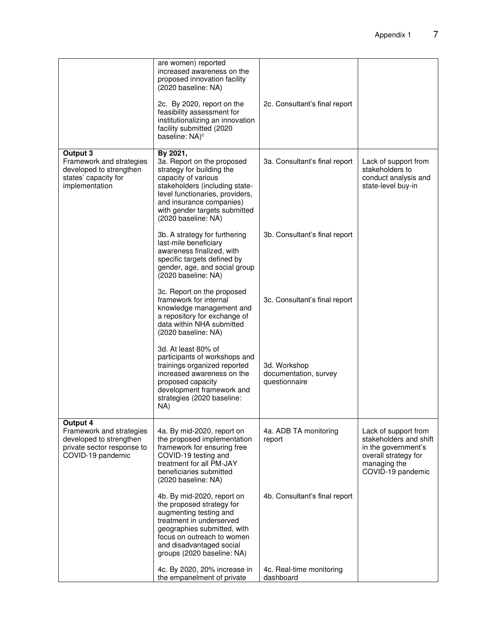|                                                                                                                    | are women) reported<br>increased awareness on the<br>proposed innovation facility<br>(2020 baseline: NA)<br>2c. By 2020, report on the<br>feasibility assessment for<br>institutionalizing an innovation<br>facility submitted (2020<br>baseline: NA) <sup>c</sup> | 2c. Consultant's final report                          |                                                                                                                                    |
|--------------------------------------------------------------------------------------------------------------------|--------------------------------------------------------------------------------------------------------------------------------------------------------------------------------------------------------------------------------------------------------------------|--------------------------------------------------------|------------------------------------------------------------------------------------------------------------------------------------|
| Output 3<br>Framework and strategies<br>developed to strengthen<br>states' capacity for<br>implementation          | By 2021,<br>3a. Report on the proposed<br>strategy for building the<br>capacity of various<br>stakeholders (including state-<br>level functionaries, providers,<br>and insurance companies)<br>with gender targets submitted<br>(2020 baseline: NA)                | 3a. Consultant's final report                          | Lack of support from<br>stakeholders to<br>conduct analysis and<br>state-level buy-in                                              |
|                                                                                                                    | 3b. A strategy for furthering<br>last-mile beneficiary<br>awareness finalized, with<br>specific targets defined by<br>gender, age, and social group<br>(2020 baseline: NA)                                                                                         | 3b. Consultant's final report                          |                                                                                                                                    |
|                                                                                                                    | 3c. Report on the proposed<br>framework for internal<br>knowledge management and<br>a repository for exchange of<br>data within NHA submitted<br>(2020 baseline: NA)                                                                                               | 3c. Consultant's final report                          |                                                                                                                                    |
|                                                                                                                    | 3d. At least 80% of<br>participants of workshops and<br>trainings organized reported<br>increased awareness on the<br>proposed capacity<br>development framework and<br>strategies (2020 baseline:<br>NA)                                                          | 3d. Workshop<br>documentation, survey<br>questionnaire |                                                                                                                                    |
| Output 4<br>Framework and strategies<br>developed to strengthen<br>private sector response to<br>COVID-19 pandemic | 4a. By mid-2020, report on<br>the proposed implementation<br>framework for ensuring free<br>COVID-19 testing and<br>treatment for all PM-JAY<br>beneficiaries submitted<br>(2020 baseline: NA)                                                                     | 4a. ADB TA monitoring<br>report                        | Lack of support from<br>stakeholders and shift<br>in the government's<br>overall strategy for<br>managing the<br>COVID-19 pandemic |
|                                                                                                                    | 4b. By mid-2020, report on<br>the proposed strategy for<br>augmenting testing and<br>treatment in underserved<br>geographies submitted, with<br>focus on outreach to women<br>and disadvantaged social<br>groups (2020 baseline: NA)                               | 4b. Consultant's final report                          |                                                                                                                                    |
|                                                                                                                    | 4c. By 2020, 20% increase in<br>the empanelment of private                                                                                                                                                                                                         | 4c. Real-time monitoring<br>dashboard                  |                                                                                                                                    |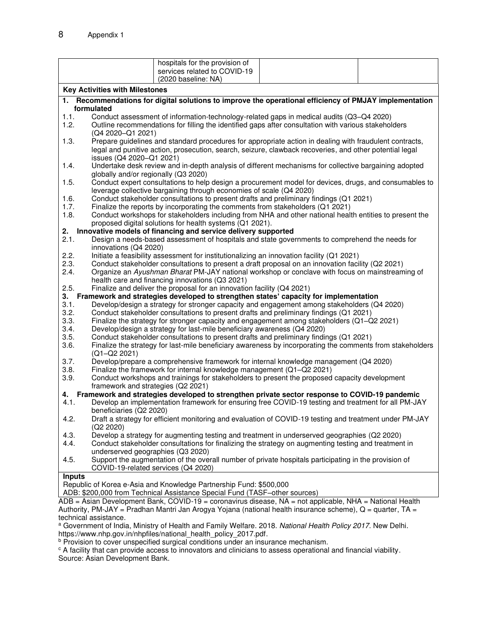|                                                                                                  | hospitals for the provision of                                                                                                                                                                                     |  |  |  |  |
|--------------------------------------------------------------------------------------------------|--------------------------------------------------------------------------------------------------------------------------------------------------------------------------------------------------------------------|--|--|--|--|
|                                                                                                  | services related to COVID-19                                                                                                                                                                                       |  |  |  |  |
|                                                                                                  | (2020 baseline: NA)                                                                                                                                                                                                |  |  |  |  |
|                                                                                                  | <b>Key Activities with Milestones</b>                                                                                                                                                                              |  |  |  |  |
|                                                                                                  | 1. Recommendations for digital solutions to improve the operational efficiency of PMJAY implementation                                                                                                             |  |  |  |  |
|                                                                                                  | formulated                                                                                                                                                                                                         |  |  |  |  |
| 1.1.                                                                                             | Conduct assessment of information-technology-related gaps in medical audits (Q3-Q4 2020)                                                                                                                           |  |  |  |  |
| 1.2.                                                                                             | Outline recommendations for filling the identified gaps after consultation with various stakeholders<br>(Q4 2020-Q1 2021)                                                                                          |  |  |  |  |
| 1.3.                                                                                             | Prepare guidelines and standard procedures for appropriate action in dealing with fraudulent contracts,<br>legal and punitive action, prosecution, search, seizure, clawback recoveries, and other potential legal |  |  |  |  |
|                                                                                                  | issues (Q4 2020-Q1 2021)                                                                                                                                                                                           |  |  |  |  |
| 1.4.                                                                                             | Undertake desk review and in-depth analysis of different mechanisms for collective bargaining adopted<br>globally and/or regionally (Q3 2020)                                                                      |  |  |  |  |
| 1.5.                                                                                             | Conduct expert consultations to help design a procurement model for devices, drugs, and consumables to                                                                                                             |  |  |  |  |
|                                                                                                  | leverage collective bargaining through economies of scale (Q4 2020)                                                                                                                                                |  |  |  |  |
| 1.6.                                                                                             | Conduct stakeholder consultations to present drafts and preliminary findings (Q1 2021)                                                                                                                             |  |  |  |  |
| 1.7.                                                                                             | Finalize the reports by incorporating the comments from stakeholders (Q1 2021)                                                                                                                                     |  |  |  |  |
| 1.8.                                                                                             | Conduct workshops for stakeholders including from NHA and other national health entities to present the<br>proposed digital solutions for health systems (Q1 2021).                                                |  |  |  |  |
|                                                                                                  | 2. Innovative models of financing and service delivery supported                                                                                                                                                   |  |  |  |  |
| 2.1.                                                                                             | Design a needs-based assessment of hospitals and state governments to comprehend the needs for                                                                                                                     |  |  |  |  |
|                                                                                                  | innovations (Q4 2020)                                                                                                                                                                                              |  |  |  |  |
| 2.2.                                                                                             | Initiate a feasibility assessment for institutionalizing an innovation facility (Q1 2021)                                                                                                                          |  |  |  |  |
| 2.3.                                                                                             | Conduct stakeholder consultations to present a draft proposal on an innovation facility (Q2 2021)                                                                                                                  |  |  |  |  |
| 2.4.                                                                                             | Organize an Ayushman Bharat PM-JAY national workshop or conclave with focus on mainstreaming of                                                                                                                    |  |  |  |  |
|                                                                                                  | health care and financing innovations (Q3 2021)                                                                                                                                                                    |  |  |  |  |
| 2.5.                                                                                             | Finalize and deliver the proposal for an innovation facility (Q4 2021)                                                                                                                                             |  |  |  |  |
|                                                                                                  | 3. Framework and strategies developed to strengthen states' capacity for implementation                                                                                                                            |  |  |  |  |
| 3.1.                                                                                             | Develop/design a strategy for stronger capacity and engagement among stakeholders (Q4 2020)                                                                                                                        |  |  |  |  |
| 3.2.                                                                                             | Conduct stakeholder consultations to present drafts and preliminary findings (Q1 2021)                                                                                                                             |  |  |  |  |
| 3.3.                                                                                             | Finalize the strategy for stronger capacity and engagement among stakeholders (Q1-Q2 2021)                                                                                                                         |  |  |  |  |
| 3.4.                                                                                             | Develop/design a strategy for last-mile beneficiary awareness (Q4 2020)                                                                                                                                            |  |  |  |  |
| 3.5.                                                                                             | Conduct stakeholder consultations to present drafts and preliminary findings (Q1 2021)                                                                                                                             |  |  |  |  |
| 3.6.                                                                                             | Finalize the strategy for last-mile beneficiary awareness by incorporating the comments from stakeholders                                                                                                          |  |  |  |  |
|                                                                                                  | (Q1-Q2 2021)                                                                                                                                                                                                       |  |  |  |  |
| 3.7.                                                                                             | Develop/prepare a comprehensive framework for internal knowledge management (Q4 2020)                                                                                                                              |  |  |  |  |
| 3.8.                                                                                             | Finalize the framework for internal knowledge management (Q1-Q2 2021)                                                                                                                                              |  |  |  |  |
| 3.9.                                                                                             | Conduct workshops and trainings for stakeholders to present the proposed capacity development<br>framework and strategies (Q2 2021)                                                                                |  |  |  |  |
| 4. Framework and strategies developed to strengthen private sector response to COVID-19 pandemic |                                                                                                                                                                                                                    |  |  |  |  |
| 4.1.                                                                                             | Develop an implementation framework for ensuring free COVID-19 testing and treatment for all PM-JAY<br>beneficiaries (Q2 2020)                                                                                     |  |  |  |  |
| 4.2.                                                                                             | Draft a strategy for efficient monitoring and evaluation of COVID-19 testing and treatment under PM-JAY                                                                                                            |  |  |  |  |
|                                                                                                  | (Q2 2020)                                                                                                                                                                                                          |  |  |  |  |
| 4.3.                                                                                             | Develop a strategy for augmenting testing and treatment in underserved geographies (Q2 2020)                                                                                                                       |  |  |  |  |
| 4.4.                                                                                             | Conduct stakeholder consultations for finalizing the strategy on augmenting testing and treatment in                                                                                                               |  |  |  |  |
|                                                                                                  | underserved geographies (Q3 2020)                                                                                                                                                                                  |  |  |  |  |
| 4.5.                                                                                             | Support the augmentation of the overall number of private hospitals participating in the provision of<br>COVID-19-related services (Q4 2020)                                                                       |  |  |  |  |
| <b>Inputs</b>                                                                                    |                                                                                                                                                                                                                    |  |  |  |  |
| Republic of Korea e-Asia and Knowledge Partnership Fund: \$500,000                               |                                                                                                                                                                                                                    |  |  |  |  |
|                                                                                                  | ADB: \$200,000 from Technical Assistance Special Fund (TASF-other sources)                                                                                                                                         |  |  |  |  |
|                                                                                                  | Acian Davelopment Bank, COVID 10 - coronavirus disease, NA - not applicable. NHA - National Health                                                                                                                 |  |  |  |  |

ADB = Asian Development Bank, COVID-19 = coronavirus disease, NA = not applicable, NHA = National Health Authority, PM-JAY = Pradhan Mantri Jan Arogya Yojana (national health insurance scheme), Q = quarter, TA = technical assistance.

a Government of India, Ministry of Health and Family Welfare. 2018. *National Health Policy 2017*. New Delhi.

https://www.nhp.gov.in/nhpfiles/national\_health\_policy\_2017.pdf.<br><sup>b</sup> Provision to cover unspecified surgical conditions under an insurance mechanism.

<sup>c</sup> A facility that can provide access to innovators and clinicians to assess operational and financial viability.

Source: Asian Development Bank.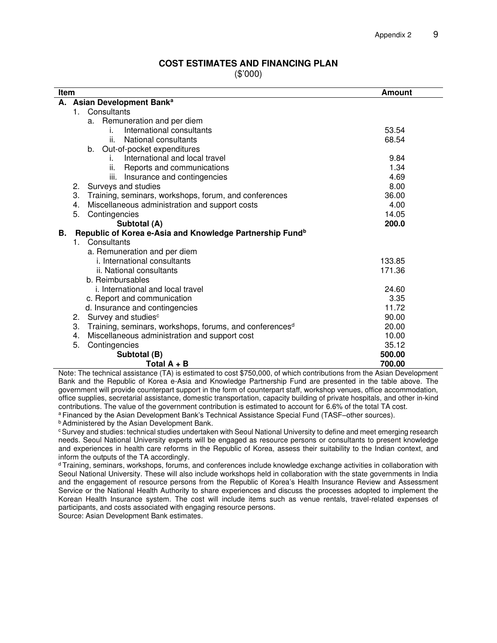#### **COST ESTIMATES AND FINANCING PLAN**

(\$'000)

| Item |             |                                                                      | <b>Amount</b> |
|------|-------------|----------------------------------------------------------------------|---------------|
|      |             | A. Asian Development Bank <sup>a</sup>                               |               |
|      | $1_{\cdot}$ | Consultants                                                          |               |
|      |             | Remuneration and per diem<br>а.                                      |               |
|      |             | International consultants<br>İ.                                      | 53.54         |
|      |             | National consultants<br>Ш.                                           | 68.54         |
|      |             | b. Out-of-pocket expenditures                                        |               |
|      |             | International and local travel<br>L.                                 | 9.84          |
|      |             | Reports and communications<br>н.                                     | 1.34          |
|      |             | Insurance and contingencies<br>iii.                                  | 4.69          |
|      | 2.          | Surveys and studies                                                  | 8.00          |
|      | 3.          | Training, seminars, workshops, forum, and conferences                | 36.00         |
|      | 4.          | Miscellaneous administration and support costs                       | 4.00          |
|      | 5.          | Contingencies                                                        | 14.05         |
|      |             | Subtotal (A)                                                         | 200.0         |
| В.   |             | Republic of Korea e-Asia and Knowledge Partnership Fund <sup>b</sup> |               |
|      |             | 1. Consultants                                                       |               |
|      |             | a. Remuneration and per diem                                         |               |
|      |             | i. International consultants                                         | 133.85        |
|      |             | ii. National consultants                                             | 171.36        |
|      |             | b. Reimbursables                                                     |               |
|      |             | i. International and local travel                                    | 24.60         |
|      |             | c. Report and communication                                          | 3.35          |
|      |             | d. Insurance and contingencies                                       | 11.72         |
|      | 2.          | Survey and studies <sup>c</sup>                                      | 90.00         |
|      | 3.          | Training, seminars, workshops, forums, and conferences <sup>d</sup>  | 20.00         |
|      | 4.          | Miscellaneous administration and support cost                        | 10.00         |
|      | 5.          | Contingencies                                                        | 35.12         |
|      |             | Subtotal (B)                                                         | 500.00        |
|      |             | Total $A + B$                                                        | 700.00        |

Note: The technical assistance (TA) is estimated to cost \$750,000, of which contributions from the Asian Development Bank and the Republic of Korea e-Asia and Knowledge Partnership Fund are presented in the table above. The government will provide counterpart support in the form of counterpart staff, workshop venues, office accommodation, office supplies, secretarial assistance, domestic transportation, capacity building of private hospitals, and other in-kind contributions. The value of the government contribution is estimated to account for 6.6% of the total TA cost.

a Financed by the Asian Development Bank's Technical Assistance Special Fund (TASF–other sources).

**b** Administered by the Asian Development Bank.

<sup>c</sup> Survey and studies: technical studies undertaken with Seoul National University to define and meet emerging research needs. Seoul National University experts will be engaged as resource persons or consultants to present knowledge and experiences in health care reforms in the Republic of Korea, assess their suitability to the Indian context, and inform the outputs of the TA accordingly.

<sup>d</sup>Training, seminars, workshops, forums, and conferences include knowledge exchange activities in collaboration with Seoul National University. These will also include workshops held in collaboration with the state governments in India and the engagement of resource persons from the Republic of Korea's Health Insurance Review and Assessment Service or the National Health Authority to share experiences and discuss the processes adopted to implement the Korean Health Insurance system. The cost will include items such as venue rentals, travel-related expenses of participants, and costs associated with engaging resource persons.

Source: Asian Development Bank estimates.